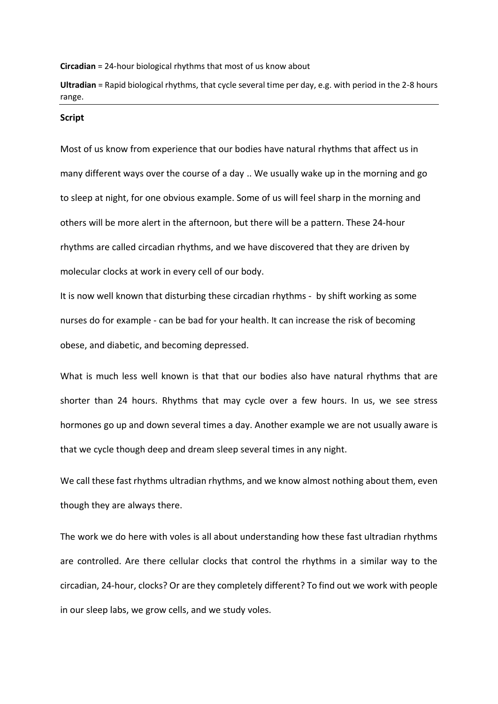**Circadian** = 24-hour biological rhythms that most of us know about

**Ultradian** = Rapid biological rhythms, that cycle several time per day, e.g. with period in the 2-8 hours range.

## **Script**

Most of us know from experience that our bodies have natural rhythms that affect us in many different ways over the course of a day .. We usually wake up in the morning and go to sleep at night, for one obvious example. Some of us will feel sharp in the morning and others will be more alert in the afternoon, but there will be a pattern. These 24-hour rhythms are called circadian rhythms, and we have discovered that they are driven by molecular clocks at work in every cell of our body.

It is now well known that disturbing these circadian rhythms - by shift working as some nurses do for example - can be bad for your health. It can increase the risk of becoming obese, and diabetic, and becoming depressed.

What is much less well known is that that our bodies also have natural rhythms that are shorter than 24 hours. Rhythms that may cycle over a few hours. In us, we see stress hormones go up and down several times a day. Another example we are not usually aware is that we cycle though deep and dream sleep several times in any night.

We call these fast rhythms ultradian rhythms, and we know almost nothing about them, even though they are always there.

The work we do here with voles is all about understanding how these fast ultradian rhythms are controlled. Are there cellular clocks that control the rhythms in a similar way to the circadian, 24-hour, clocks? Or are they completely different? To find out we work with people in our sleep labs, we grow cells, and we study voles.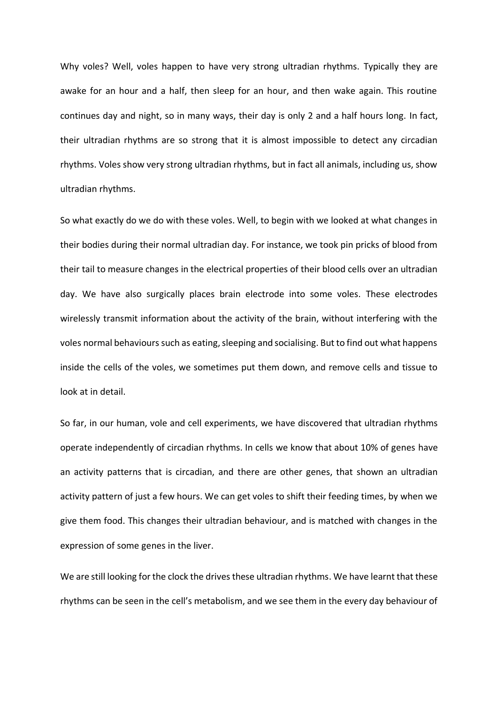Why voles? Well, voles happen to have very strong ultradian rhythms. Typically they are awake for an hour and a half, then sleep for an hour, and then wake again. This routine continues day and night, so in many ways, their day is only 2 and a half hours long. In fact, their ultradian rhythms are so strong that it is almost impossible to detect any circadian rhythms. Voles show very strong ultradian rhythms, but in fact all animals, including us, show ultradian rhythms.

So what exactly do we do with these voles. Well, to begin with we looked at what changes in their bodies during their normal ultradian day. For instance, we took pin pricks of blood from their tail to measure changes in the electrical properties of their blood cells over an ultradian day. We have also surgically places brain electrode into some voles. These electrodes wirelessly transmit information about the activity of the brain, without interfering with the voles normal behaviours such as eating, sleeping and socialising. But to find out what happens inside the cells of the voles, we sometimes put them down, and remove cells and tissue to look at in detail.

So far, in our human, vole and cell experiments, we have discovered that ultradian rhythms operate independently of circadian rhythms. In cells we know that about 10% of genes have an activity patterns that is circadian, and there are other genes, that shown an ultradian activity pattern of just a few hours. We can get voles to shift their feeding times, by when we give them food. This changes their ultradian behaviour, and is matched with changes in the expression of some genes in the liver.

We are still looking for the clock the drives these ultradian rhythms. We have learnt that these rhythms can be seen in the cell's metabolism, and we see them in the every day behaviour of